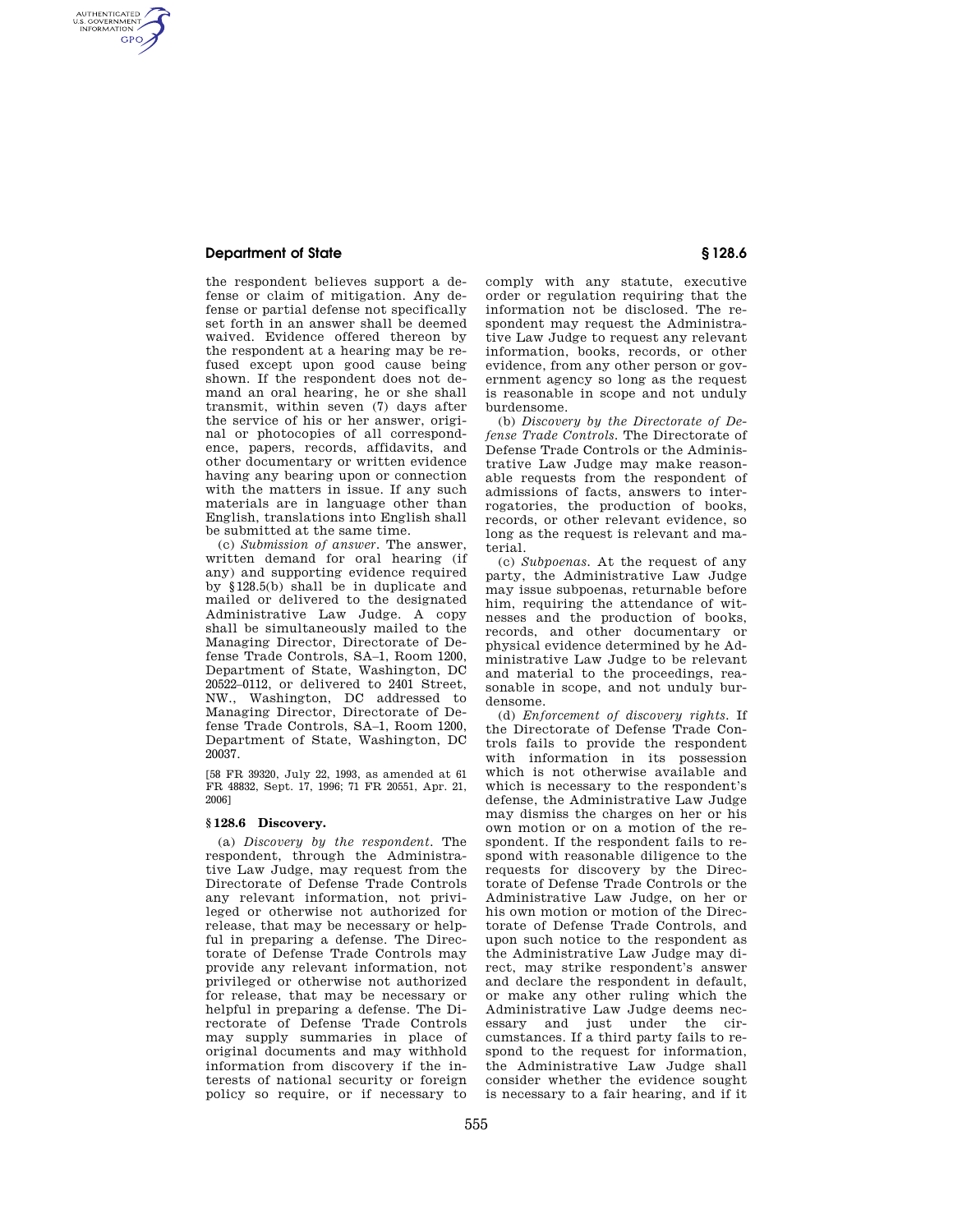## **Department of State § 128.6**

AUTHENTICATED<br>U.S. GOVERNMENT<br>INFORMATION **GPO** 

> the respondent believes support a defense or claim of mitigation. Any defense or partial defense not specifically set forth in an answer shall be deemed waived. Evidence offered thereon by the respondent at a hearing may be refused except upon good cause being shown. If the respondent does not demand an oral hearing, he or she shall transmit, within seven (7) days after the service of his or her answer, original or photocopies of all correspondence, papers, records, affidavits, and other documentary or written evidence having any bearing upon or connection with the matters in issue. If any such materials are in language other than English, translations into English shall be submitted at the same time.

> (c) *Submission of answer.* The answer, written demand for oral hearing (if any) and supporting evidence required by §128.5(b) shall be in duplicate and mailed or delivered to the designated Administrative Law Judge. A copy shall be simultaneously mailed to the Managing Director, Directorate of Defense Trade Controls, SA–1, Room 1200, Department of State, Washington, DC 20522–0112, or delivered to 2401 Street, NW., Washington, DC addressed to Managing Director, Directorate of Defense Trade Controls, SA–1, Room 1200, Department of State, Washington, DC 20037.

[58 FR 39320, July 22, 1993, as amended at 61 FR 48832, Sept. 17, 1996; 71 FR 20551, Apr. 21, 2006]

#### **§ 128.6 Discovery.**

(a) *Discovery by the respondent.* The respondent, through the Administrative Law Judge, may request from the Directorate of Defense Trade Controls any relevant information, not privileged or otherwise not authorized for release, that may be necessary or helpful in preparing a defense. The Directorate of Defense Trade Controls may provide any relevant information, not privileged or otherwise not authorized for release, that may be necessary or helpful in preparing a defense. The Directorate of Defense Trade Controls may supply summaries in place of original documents and may withhold information from discovery if the interests of national security or foreign policy so require, or if necessary to

comply with any statute, executive order or regulation requiring that the information not be disclosed. The respondent may request the Administrative Law Judge to request any relevant information, books, records, or other evidence, from any other person or government agency so long as the request is reasonable in scope and not unduly burdensome.

(b) *Discovery by the Directorate of Defense Trade Controls.* The Directorate of Defense Trade Controls or the Administrative Law Judge may make reasonable requests from the respondent of admissions of facts, answers to interrogatories, the production of books, records, or other relevant evidence, so long as the request is relevant and material.

(c) *Subpoenas.* At the request of any party, the Administrative Law Judge may issue subpoenas, returnable before him, requiring the attendance of witnesses and the production of books, records, and other documentary or physical evidence determined by he Administrative Law Judge to be relevant and material to the proceedings, reasonable in scope, and not unduly burdensome.

(d) *Enforcement of discovery rights.* If the Directorate of Defense Trade Controls fails to provide the respondent with information in its possession which is not otherwise available and which is necessary to the respondent's defense, the Administrative Law Judge may dismiss the charges on her or his own motion or on a motion of the respondent. If the respondent fails to respond with reasonable diligence to the requests for discovery by the Directorate of Defense Trade Controls or the Administrative Law Judge, on her or his own motion or motion of the Directorate of Defense Trade Controls, and upon such notice to the respondent as the Administrative Law Judge may direct, may strike respondent's answer and declare the respondent in default, or make any other ruling which the Administrative Law Judge deems necessary and just under the circumstances. If a third party fails to respond to the request for information, the Administrative Law Judge shall consider whether the evidence sought is necessary to a fair hearing, and if it